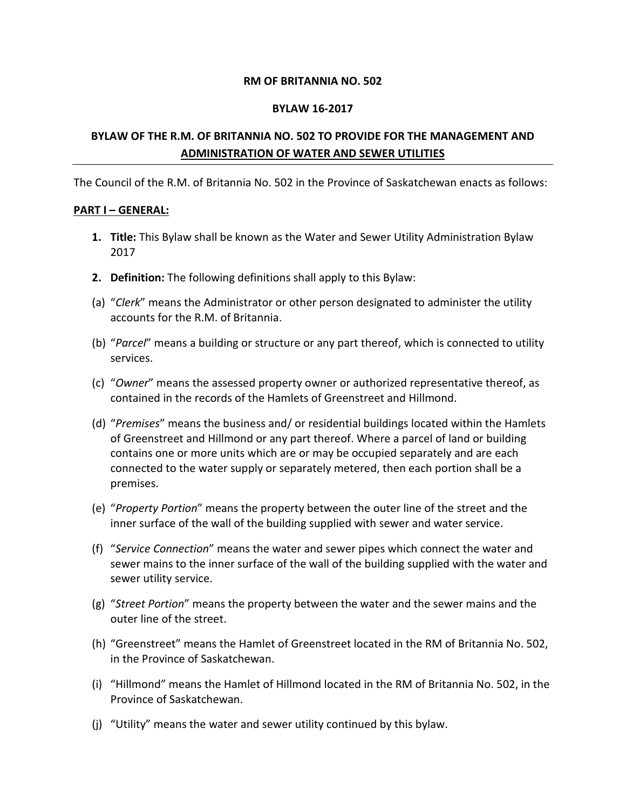#### **RM OF BRITANNIA NO. 502**

#### **BYLAW 16-2017**

## **BYLAW OF THE R.M. OF BRITANNIA NO. 502 TO PROVIDE FOR THE MANAGEMENT AND ADMINISTRATION OF WATER AND SEWER UTILITIES**

The Council of the R.M. of Britannia No. 502 in the Province of Saskatchewan enacts as follows:

### **PART I – GENERAL:**

- **1. Title:** This Bylaw shall be known as the Water and Sewer Utility Administration Bylaw 2017
- **2. Definition:** The following definitions shall apply to this Bylaw:
- (a) "*Clerk*" means the Administrator or other person designated to administer the utility accounts for the R.M. of Britannia.
- (b) "*Parcel*" means a building or structure or any part thereof, which is connected to utility services.
- (c) "*Owner*" means the assessed property owner or authorized representative thereof, as contained in the records of the Hamlets of Greenstreet and Hillmond.
- (d) "*Premises*" means the business and/ or residential buildings located within the Hamlets of Greenstreet and Hillmond or any part thereof. Where a parcel of land or building contains one or more units which are or may be occupied separately and are each connected to the water supply or separately metered, then each portion shall be a premises.
- (e) "*Property Portion*" means the property between the outer line of the street and the inner surface of the wall of the building supplied with sewer and water service.
- (f) "*Service Connection*" means the water and sewer pipes which connect the water and sewer mains to the inner surface of the wall of the building supplied with the water and sewer utility service.
- (g) "*Street Portion*" means the property between the water and the sewer mains and the outer line of the street.
- (h) "Greenstreet" means the Hamlet of Greenstreet located in the RM of Britannia No. 502, in the Province of Saskatchewan.
- (i) "Hillmond" means the Hamlet of Hillmond located in the RM of Britannia No. 502, in the Province of Saskatchewan.
- (j) "Utility" means the water and sewer utility continued by this bylaw.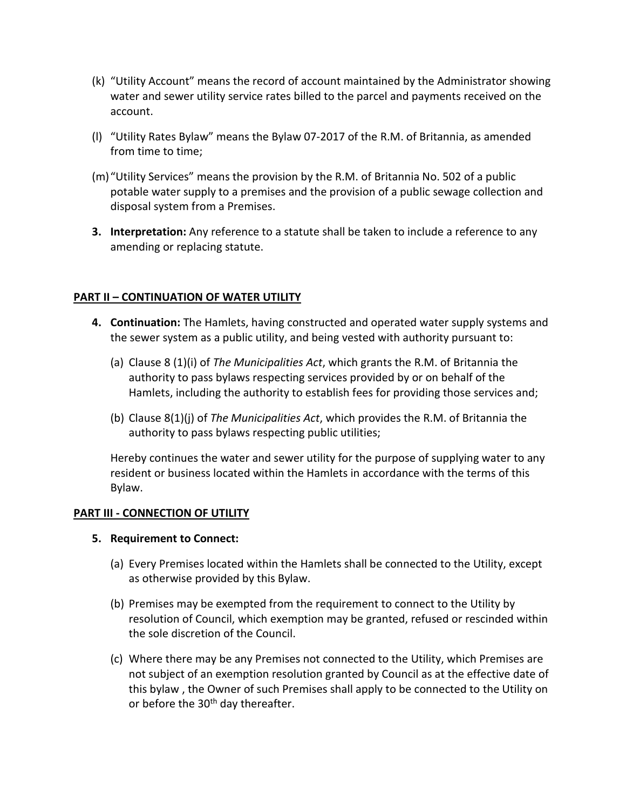- (k) "Utility Account" means the record of account maintained by the Administrator showing water and sewer utility service rates billed to the parcel and payments received on the account.
- (l) "Utility Rates Bylaw" means the Bylaw 07-2017 of the R.M. of Britannia, as amended from time to time;
- (m)"Utility Services" means the provision by the R.M. of Britannia No. 502 of a public potable water supply to a premises and the provision of a public sewage collection and disposal system from a Premises.
- **3. Interpretation:** Any reference to a statute shall be taken to include a reference to any amending or replacing statute.

## **PART II – CONTINUATION OF WATER UTILITY**

- **4. Continuation:** The Hamlets, having constructed and operated water supply systems and the sewer system as a public utility, and being vested with authority pursuant to:
	- (a) Clause 8 (1)(i) of *The Municipalities Act*, which grants the R.M. of Britannia the authority to pass bylaws respecting services provided by or on behalf of the Hamlets, including the authority to establish fees for providing those services and;
	- (b) Clause 8(1)(j) of *The Municipalities Act*, which provides the R.M. of Britannia the authority to pass bylaws respecting public utilities;

Hereby continues the water and sewer utility for the purpose of supplying water to any resident or business located within the Hamlets in accordance with the terms of this Bylaw.

## **PART III - CONNECTION OF UTILITY**

## **5. Requirement to Connect:**

- (a) Every Premises located within the Hamlets shall be connected to the Utility, except as otherwise provided by this Bylaw.
- (b) Premises may be exempted from the requirement to connect to the Utility by resolution of Council, which exemption may be granted, refused or rescinded within the sole discretion of the Council.
- (c) Where there may be any Premises not connected to the Utility, which Premises are not subject of an exemption resolution granted by Council as at the effective date of this bylaw , the Owner of such Premises shall apply to be connected to the Utility on or before the 30<sup>th</sup> day thereafter.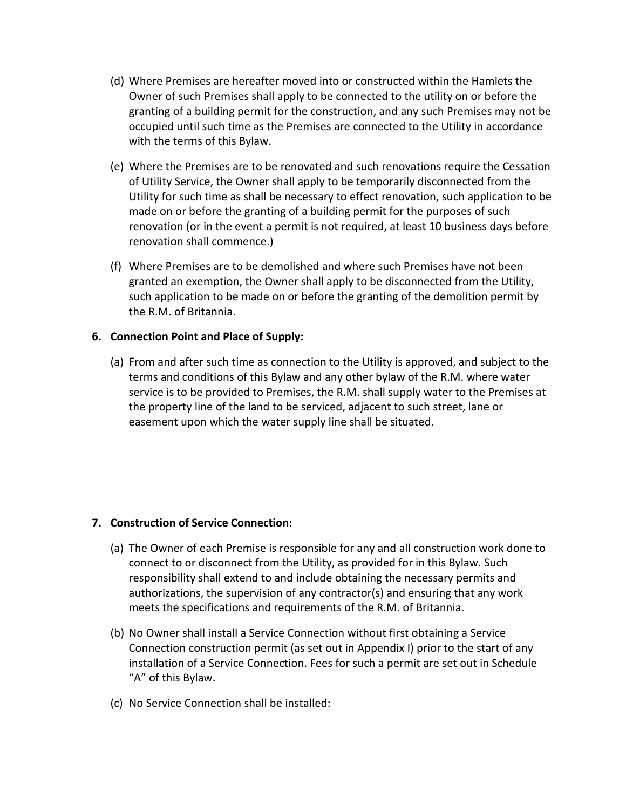- (d) Where Premises are hereafter moved into or constructed within the Hamlets the Owner of such Premises shall apply to be connected to the utility on or before the granting of a building permit for the construction, and any such Premises may not be occupied until such time as the Premises are connected to the Utility in accordance with the terms of this Bylaw.
- (e) Where the Premises are to be renovated and such renovations require the Cessation of Utility Service, the Owner shall apply to be temporarily disconnected from the Utility for such time as shall be necessary to effect renovation, such application to be made on or before the granting of a building permit for the purposes of such renovation (or in the event a permit is not required, at least 10 business days before renovation shall commence.)
- (f) Where Premises are to be demolished and where such Premises have not been granted an exemption, the Owner shall apply to be disconnected from the Utility, such application to be made on or before the granting of the demolition permit by the R.M. of Britannia.

## **6. Connection Point and Place of Supply:**

(a) From and after such time as connection to the Utility is approved, and subject to the terms and conditions of this Bylaw and any other bylaw of the R.M. where water service is to be provided to Premises, the R.M. shall supply water to the Premises at the property line of the land to be serviced, adjacent to such street, lane or easement upon which the water supply line shall be situated.

## **7. Construction of Service Connection:**

- (a) The Owner of each Premise is responsible for any and all construction work done to connect to or disconnect from the Utility, as provided for in this Bylaw. Such responsibility shall extend to and include obtaining the necessary permits and authorizations, the supervision of any contractor(s) and ensuring that any work meets the specifications and requirements of the R.M. of Britannia.
- (b) No Owner shall install a Service Connection without first obtaining a Service Connection construction permit (as set out in Appendix I) prior to the start of any installation of a Service Connection. Fees for such a permit are set out in Schedule "A" of this Bylaw.
- (c) No Service Connection shall be installed: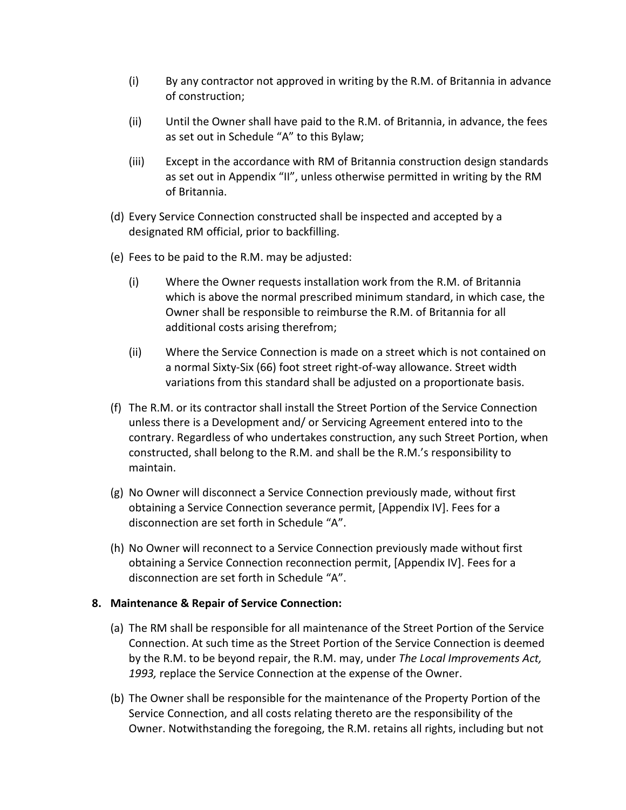- (i) By any contractor not approved in writing by the R.M. of Britannia in advance of construction;
- (ii) Until the Owner shall have paid to the R.M. of Britannia, in advance, the fees as set out in Schedule "A" to this Bylaw;
- (iii) Except in the accordance with RM of Britannia construction design standards as set out in Appendix "II", unless otherwise permitted in writing by the RM of Britannia.
- (d) Every Service Connection constructed shall be inspected and accepted by a designated RM official, prior to backfilling.
- (e) Fees to be paid to the R.M. may be adjusted:
	- (i) Where the Owner requests installation work from the R.M. of Britannia which is above the normal prescribed minimum standard, in which case, the Owner shall be responsible to reimburse the R.M. of Britannia for all additional costs arising therefrom;
	- (ii) Where the Service Connection is made on a street which is not contained on a normal Sixty-Six (66) foot street right-of-way allowance. Street width variations from this standard shall be adjusted on a proportionate basis.
- (f) The R.M. or its contractor shall install the Street Portion of the Service Connection unless there is a Development and/ or Servicing Agreement entered into to the contrary. Regardless of who undertakes construction, any such Street Portion, when constructed, shall belong to the R.M. and shall be the R.M.'s responsibility to maintain.
- (g) No Owner will disconnect a Service Connection previously made, without first obtaining a Service Connection severance permit, [Appendix IV]. Fees for a disconnection are set forth in Schedule "A".
- (h) No Owner will reconnect to a Service Connection previously made without first obtaining a Service Connection reconnection permit, [Appendix IV]. Fees for a disconnection are set forth in Schedule "A".

## **8. Maintenance & Repair of Service Connection:**

- (a) The RM shall be responsible for all maintenance of the Street Portion of the Service Connection. At such time as the Street Portion of the Service Connection is deemed by the R.M. to be beyond repair, the R.M. may, under *The Local Improvements Act, 1993,* replace the Service Connection at the expense of the Owner.
- (b) The Owner shall be responsible for the maintenance of the Property Portion of the Service Connection, and all costs relating thereto are the responsibility of the Owner. Notwithstanding the foregoing, the R.M. retains all rights, including but not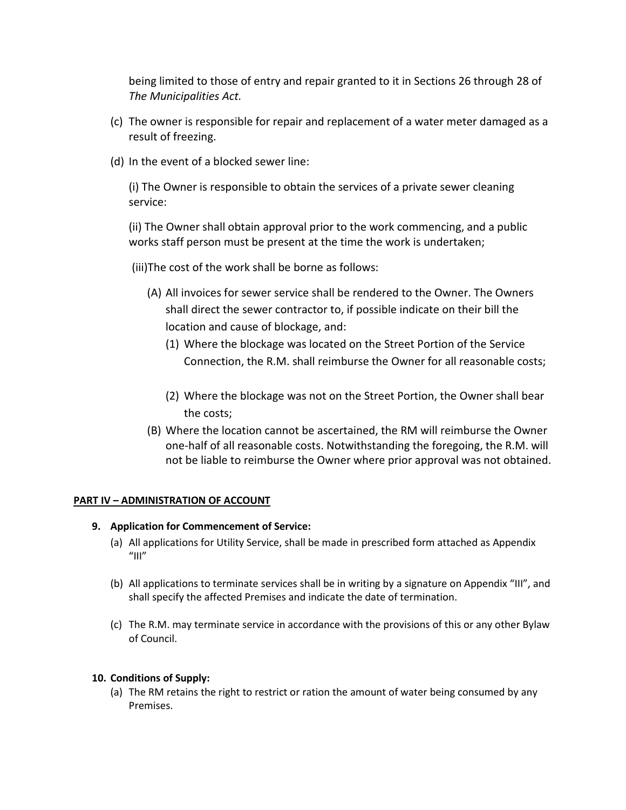being limited to those of entry and repair granted to it in Sections 26 through 28 of *The Municipalities Act.*

- (c) The owner is responsible for repair and replacement of a water meter damaged as a result of freezing.
- (d) In the event of a blocked sewer line:

(i) The Owner is responsible to obtain the services of a private sewer cleaning service:

(ii) The Owner shall obtain approval prior to the work commencing, and a public works staff person must be present at the time the work is undertaken;

- (iii)The cost of the work shall be borne as follows:
	- (A) All invoices for sewer service shall be rendered to the Owner. The Owners shall direct the sewer contractor to, if possible indicate on their bill the location and cause of blockage, and:
		- (1) Where the blockage was located on the Street Portion of the Service Connection, the R.M. shall reimburse the Owner for all reasonable costs;
		- (2) Where the blockage was not on the Street Portion, the Owner shall bear the costs;
	- (B) Where the location cannot be ascertained, the RM will reimburse the Owner one-half of all reasonable costs. Notwithstanding the foregoing, the R.M. will not be liable to reimburse the Owner where prior approval was not obtained.

## **PART IV – ADMINISTRATION OF ACCOUNT**

## **9. Application for Commencement of Service:**

- (a) All applications for Utility Service, shall be made in prescribed form attached as Appendix  $^{\prime\prime}$ III"
- (b) All applications to terminate services shall be in writing by a signature on Appendix "III", and shall specify the affected Premises and indicate the date of termination.
- (c) The R.M. may terminate service in accordance with the provisions of this or any other Bylaw of Council.

#### **10. Conditions of Supply:**

(a) The RM retains the right to restrict or ration the amount of water being consumed by any Premises.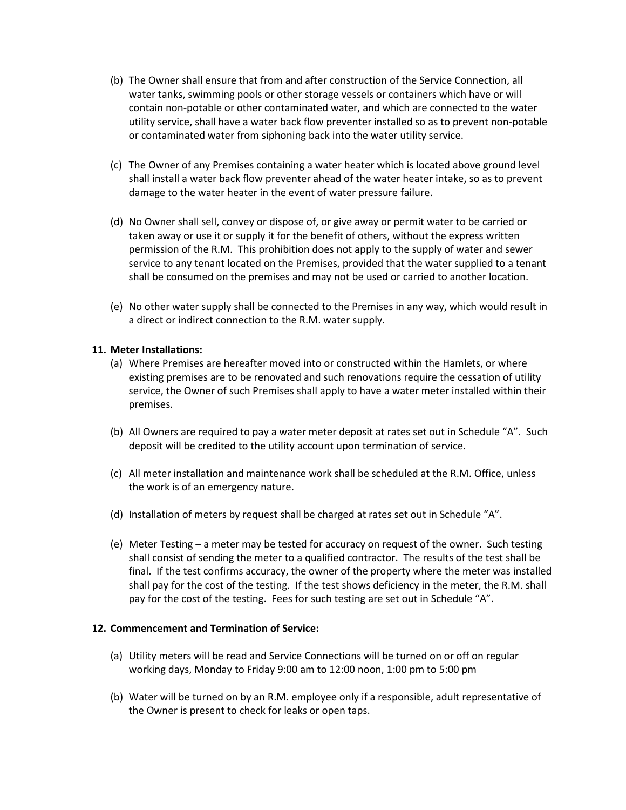- (b) The Owner shall ensure that from and after construction of the Service Connection, all water tanks, swimming pools or other storage vessels or containers which have or will contain non-potable or other contaminated water, and which are connected to the water utility service, shall have a water back flow preventer installed so as to prevent non-potable or contaminated water from siphoning back into the water utility service.
- (c) The Owner of any Premises containing a water heater which is located above ground level shall install a water back flow preventer ahead of the water heater intake, so as to prevent damage to the water heater in the event of water pressure failure.
- (d) No Owner shall sell, convey or dispose of, or give away or permit water to be carried or taken away or use it or supply it for the benefit of others, without the express written permission of the R.M. This prohibition does not apply to the supply of water and sewer service to any tenant located on the Premises, provided that the water supplied to a tenant shall be consumed on the premises and may not be used or carried to another location.
- (e) No other water supply shall be connected to the Premises in any way, which would result in a direct or indirect connection to the R.M. water supply.

#### **11. Meter Installations:**

- (a) Where Premises are hereafter moved into or constructed within the Hamlets, or where existing premises are to be renovated and such renovations require the cessation of utility service, the Owner of such Premises shall apply to have a water meter installed within their premises.
- (b) All Owners are required to pay a water meter deposit at rates set out in Schedule "A". Such deposit will be credited to the utility account upon termination of service.
- (c) All meter installation and maintenance work shall be scheduled at the R.M. Office, unless the work is of an emergency nature.
- (d) Installation of meters by request shall be charged at rates set out in Schedule "A".
- (e) Meter Testing a meter may be tested for accuracy on request of the owner. Such testing shall consist of sending the meter to a qualified contractor. The results of the test shall be final. If the test confirms accuracy, the owner of the property where the meter was installed shall pay for the cost of the testing. If the test shows deficiency in the meter, the R.M. shall pay for the cost of the testing. Fees for such testing are set out in Schedule "A".

#### **12. Commencement and Termination of Service:**

- (a) Utility meters will be read and Service Connections will be turned on or off on regular working days, Monday to Friday 9:00 am to 12:00 noon, 1:00 pm to 5:00 pm
- (b) Water will be turned on by an R.M. employee only if a responsible, adult representative of the Owner is present to check for leaks or open taps.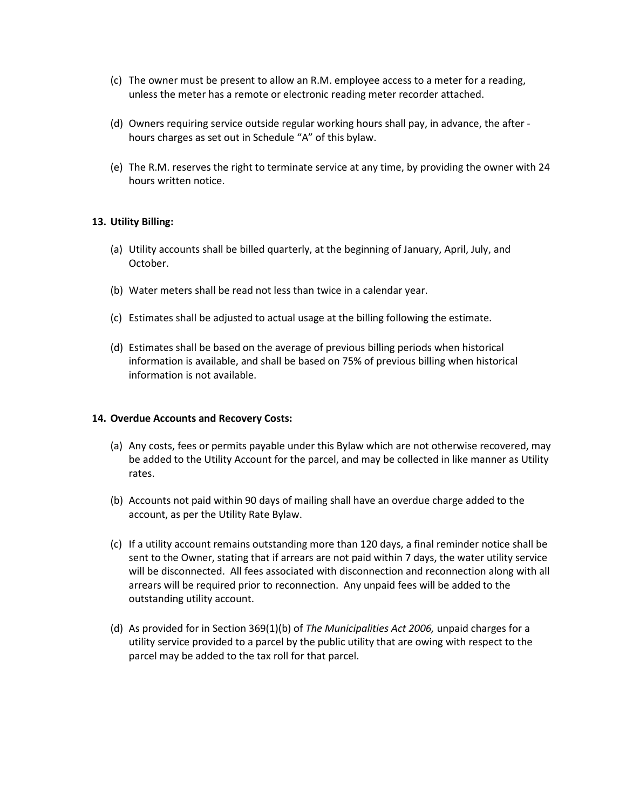- (c) The owner must be present to allow an R.M. employee access to a meter for a reading, unless the meter has a remote or electronic reading meter recorder attached.
- (d) Owners requiring service outside regular working hours shall pay, in advance, the after hours charges as set out in Schedule "A" of this bylaw.
- (e) The R.M. reserves the right to terminate service at any time, by providing the owner with 24 hours written notice.

#### **13. Utility Billing:**

- (a) Utility accounts shall be billed quarterly, at the beginning of January, April, July, and October.
- (b) Water meters shall be read not less than twice in a calendar year.
- (c) Estimates shall be adjusted to actual usage at the billing following the estimate.
- (d) Estimates shall be based on the average of previous billing periods when historical information is available, and shall be based on 75% of previous billing when historical information is not available.

#### **14. Overdue Accounts and Recovery Costs:**

- (a) Any costs, fees or permits payable under this Bylaw which are not otherwise recovered, may be added to the Utility Account for the parcel, and may be collected in like manner as Utility rates.
- (b) Accounts not paid within 90 days of mailing shall have an overdue charge added to the account, as per the Utility Rate Bylaw.
- (c) If a utility account remains outstanding more than 120 days, a final reminder notice shall be sent to the Owner, stating that if arrears are not paid within 7 days, the water utility service will be disconnected. All fees associated with disconnection and reconnection along with all arrears will be required prior to reconnection. Any unpaid fees will be added to the outstanding utility account.
- (d) As provided for in Section 369(1)(b) of *The Municipalities Act 2006,* unpaid charges for a utility service provided to a parcel by the public utility that are owing with respect to the parcel may be added to the tax roll for that parcel.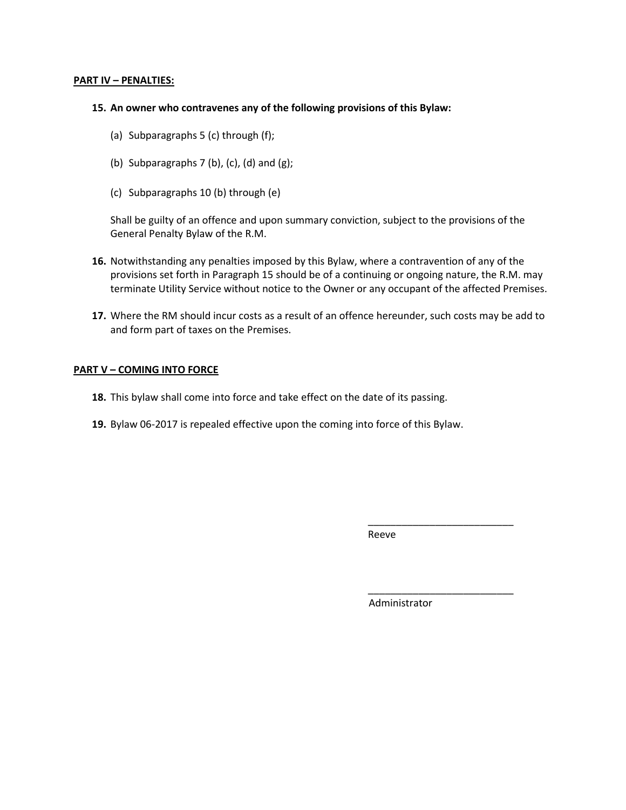#### **PART IV – PENALTIES:**

#### **15. An owner who contravenes any of the following provisions of this Bylaw:**

- (a) Subparagraphs 5 (c) through (f);
- (b) Subparagraphs  $7$  (b), (c), (d) and (g);
- (c) Subparagraphs 10 (b) through (e)

Shall be guilty of an offence and upon summary conviction, subject to the provisions of the General Penalty Bylaw of the R.M.

- **16.** Notwithstanding any penalties imposed by this Bylaw, where a contravention of any of the provisions set forth in Paragraph 15 should be of a continuing or ongoing nature, the R.M. may terminate Utility Service without notice to the Owner or any occupant of the affected Premises.
- **17.** Where the RM should incur costs as a result of an offence hereunder, such costs may be add to and form part of taxes on the Premises.

#### **PART V – COMING INTO FORCE**

- **18.** This bylaw shall come into force and take effect on the date of its passing.
- **19.** Bylaw 06-2017 is repealed effective upon the coming into force of this Bylaw.

Reeve

Administrator

\_\_\_\_\_\_\_\_\_\_\_\_\_\_\_\_\_\_\_\_\_\_\_\_\_\_

\_\_\_\_\_\_\_\_\_\_\_\_\_\_\_\_\_\_\_\_\_\_\_\_\_\_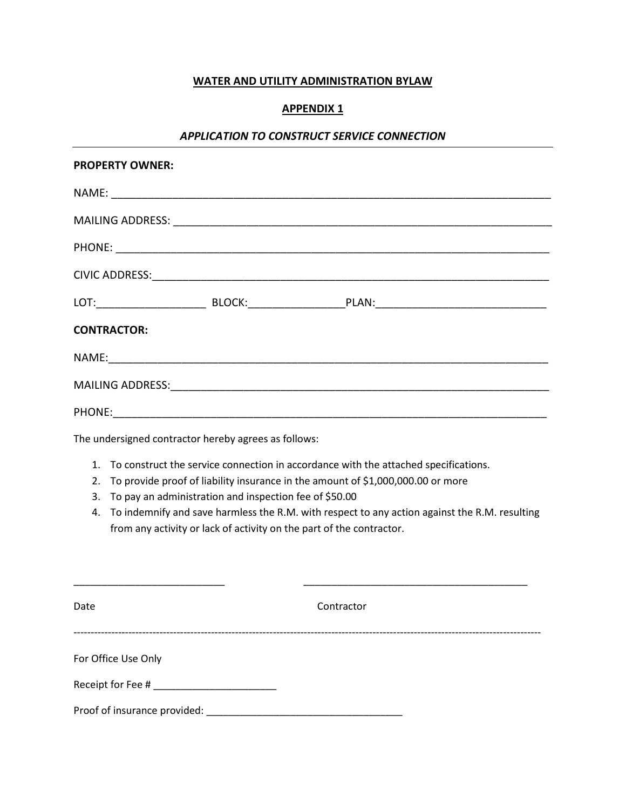## **WATER AND UTILITY ADMINISTRATION BYLAW**

## **APPENDIX 1**

#### *APPLICATION TO CONSTRUCT SERVICE CONNECTION*

| <b>PROPERTY OWNER:</b>                                                                                                                                                                                                                                                                                                                                                                                                            |  |            |  |  |  |  |  |
|-----------------------------------------------------------------------------------------------------------------------------------------------------------------------------------------------------------------------------------------------------------------------------------------------------------------------------------------------------------------------------------------------------------------------------------|--|------------|--|--|--|--|--|
|                                                                                                                                                                                                                                                                                                                                                                                                                                   |  |            |  |  |  |  |  |
|                                                                                                                                                                                                                                                                                                                                                                                                                                   |  |            |  |  |  |  |  |
|                                                                                                                                                                                                                                                                                                                                                                                                                                   |  |            |  |  |  |  |  |
|                                                                                                                                                                                                                                                                                                                                                                                                                                   |  |            |  |  |  |  |  |
|                                                                                                                                                                                                                                                                                                                                                                                                                                   |  |            |  |  |  |  |  |
| <b>CONTRACTOR:</b>                                                                                                                                                                                                                                                                                                                                                                                                                |  |            |  |  |  |  |  |
|                                                                                                                                                                                                                                                                                                                                                                                                                                   |  |            |  |  |  |  |  |
|                                                                                                                                                                                                                                                                                                                                                                                                                                   |  |            |  |  |  |  |  |
|                                                                                                                                                                                                                                                                                                                                                                                                                                   |  |            |  |  |  |  |  |
| The undersigned contractor hereby agrees as follows:                                                                                                                                                                                                                                                                                                                                                                              |  |            |  |  |  |  |  |
| To construct the service connection in accordance with the attached specifications.<br>1.<br>To provide proof of liability insurance in the amount of \$1,000,000.00 or more<br>2.<br>To pay an administration and inspection fee of \$50.00<br>3.<br>To indemnify and save harmless the R.M. with respect to any action against the R.M. resulting<br>4.<br>from any activity or lack of activity on the part of the contractor. |  |            |  |  |  |  |  |
| Date                                                                                                                                                                                                                                                                                                                                                                                                                              |  | Contractor |  |  |  |  |  |
| For Office Use Only                                                                                                                                                                                                                                                                                                                                                                                                               |  |            |  |  |  |  |  |
|                                                                                                                                                                                                                                                                                                                                                                                                                                   |  |            |  |  |  |  |  |
|                                                                                                                                                                                                                                                                                                                                                                                                                                   |  |            |  |  |  |  |  |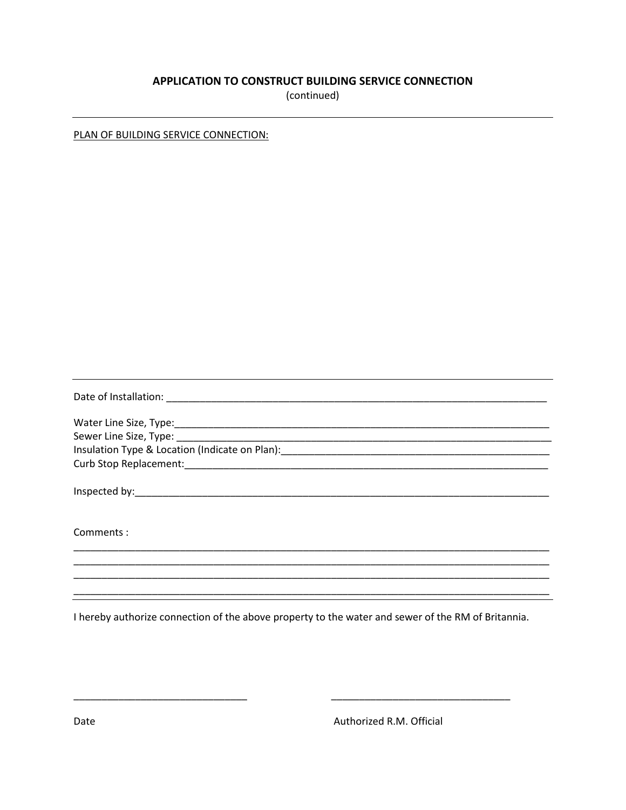### APPLICATION TO CONSTRUCT BUILDING SERVICE CONNECTION

(continued)

PLAN OF BUILDING SERVICE CONNECTION:

| Insulation Type & Location (Indicate on Plan): [19] The Content of the Assembly Content of the Assembly Content |
|-----------------------------------------------------------------------------------------------------------------|
|                                                                                                                 |
|                                                                                                                 |
| Comments:                                                                                                       |
|                                                                                                                 |
|                                                                                                                 |
|                                                                                                                 |

I hereby authorize connection of the above property to the water and sewer of the RM of Britannia.

Authorized R.M. Official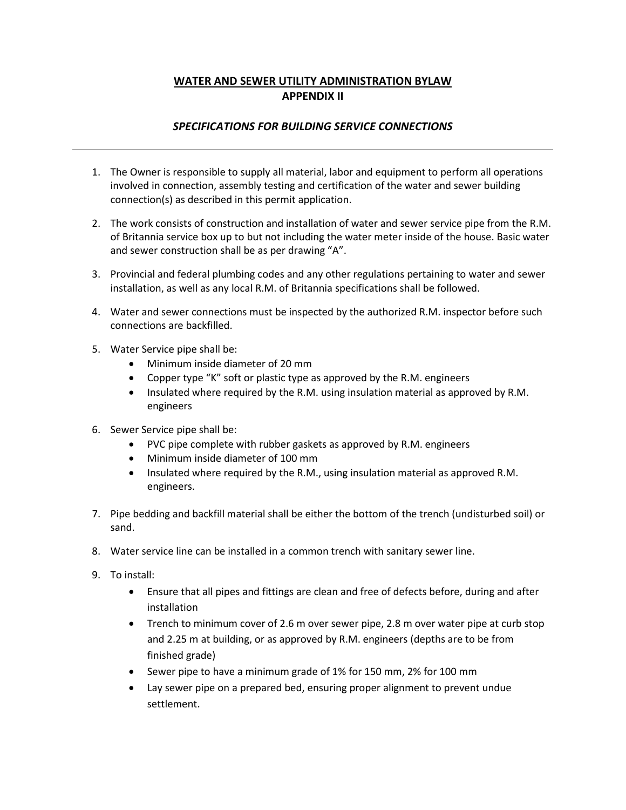## **WATER AND SEWER UTILITY ADMINISTRATION BYLAW APPENDIX II**

## *SPECIFICATIONS FOR BUILDING SERVICE CONNECTIONS*

- 1. The Owner is responsible to supply all material, labor and equipment to perform all operations involved in connection, assembly testing and certification of the water and sewer building connection(s) as described in this permit application.
- 2. The work consists of construction and installation of water and sewer service pipe from the R.M. of Britannia service box up to but not including the water meter inside of the house. Basic water and sewer construction shall be as per drawing "A".
- 3. Provincial and federal plumbing codes and any other regulations pertaining to water and sewer installation, as well as any local R.M. of Britannia specifications shall be followed.
- 4. Water and sewer connections must be inspected by the authorized R.M. inspector before such connections are backfilled.
- 5. Water Service pipe shall be:
	- Minimum inside diameter of 20 mm
	- Copper type "K" soft or plastic type as approved by the R.M. engineers
	- Insulated where required by the R.M. using insulation material as approved by R.M. engineers
- 6. Sewer Service pipe shall be:
	- PVC pipe complete with rubber gaskets as approved by R.M. engineers
	- Minimum inside diameter of 100 mm
	- Insulated where required by the R.M., using insulation material as approved R.M. engineers.
- 7. Pipe bedding and backfill material shall be either the bottom of the trench (undisturbed soil) or sand.
- 8. Water service line can be installed in a common trench with sanitary sewer line.
- 9. To install:
	- Ensure that all pipes and fittings are clean and free of defects before, during and after installation
	- Trench to minimum cover of 2.6 m over sewer pipe, 2.8 m over water pipe at curb stop and 2.25 m at building, or as approved by R.M. engineers (depths are to be from finished grade)
	- Sewer pipe to have a minimum grade of 1% for 150 mm, 2% for 100 mm
	- Lay sewer pipe on a prepared bed, ensuring proper alignment to prevent undue settlement.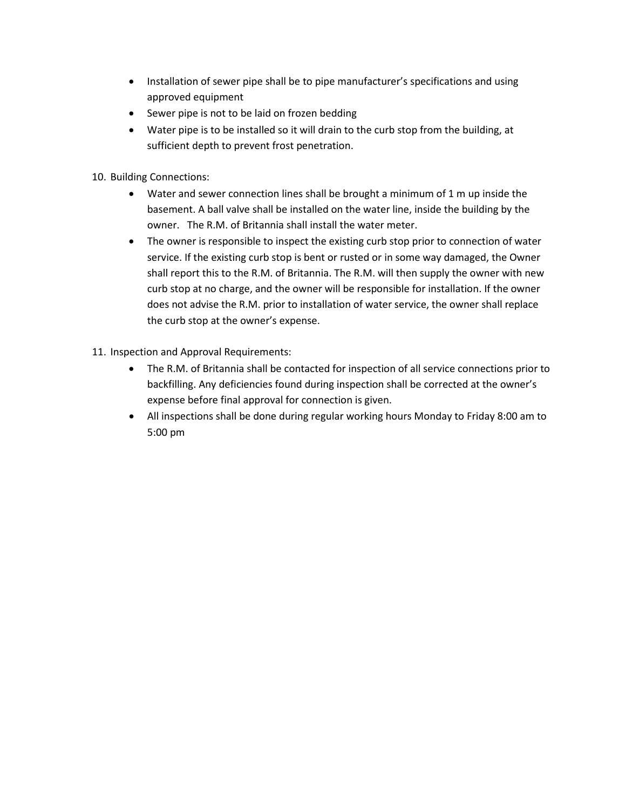- Installation of sewer pipe shall be to pipe manufacturer's specifications and using approved equipment
- Sewer pipe is not to be laid on frozen bedding
- Water pipe is to be installed so it will drain to the curb stop from the building, at sufficient depth to prevent frost penetration.
- 10. Building Connections:
	- Water and sewer connection lines shall be brought a minimum of 1 m up inside the basement. A ball valve shall be installed on the water line, inside the building by the owner. The R.M. of Britannia shall install the water meter.
	- The owner is responsible to inspect the existing curb stop prior to connection of water service. If the existing curb stop is bent or rusted or in some way damaged, the Owner shall report this to the R.M. of Britannia. The R.M. will then supply the owner with new curb stop at no charge, and the owner will be responsible for installation. If the owner does not advise the R.M. prior to installation of water service, the owner shall replace the curb stop at the owner's expense.
- 11. Inspection and Approval Requirements:
	- The R.M. of Britannia shall be contacted for inspection of all service connections prior to backfilling. Any deficiencies found during inspection shall be corrected at the owner's expense before final approval for connection is given.
	- All inspections shall be done during regular working hours Monday to Friday 8:00 am to 5:00 pm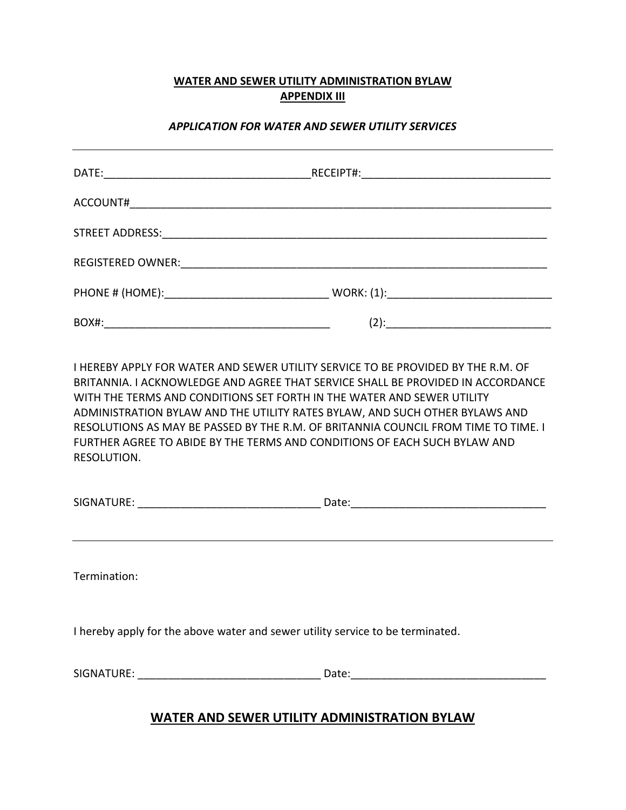## **WATER AND SEWER UTILITY ADMINISTRATION BYLAW APPENDIX III**

### *APPLICATION FOR WATER AND SEWER UTILITY SERVICES*

| ACCOUNT# |         |
|----------|---------|
|          |         |
|          |         |
|          |         |
| BOX#:    | $(2)$ : |

I HEREBY APPLY FOR WATER AND SEWER UTILITY SERVICE TO BE PROVIDED BY THE R.M. OF BRITANNIA. I ACKNOWLEDGE AND AGREE THAT SERVICE SHALL BE PROVIDED IN ACCORDANCE WITH THE TERMS AND CONDITIONS SET FORTH IN THE WATER AND SEWER UTILITY ADMINISTRATION BYLAW AND THE UTILITY RATES BYLAW, AND SUCH OTHER BYLAWS AND RESOLUTIONS AS MAY BE PASSED BY THE R.M. OF BRITANNIA COUNCIL FROM TIME TO TIME. I FURTHER AGREE TO ABIDE BY THE TERMS AND CONDITIONS OF EACH SUCH BYLAW AND RESOLUTION.

| SIGNATURE: | -ate: |  |
|------------|-------|--|
|            |       |  |

Termination:

I hereby apply for the above water and sewer utility service to be terminated.

| <b>JATURE:</b><br><b>SIGNAT</b> | コレー |
|---------------------------------|-----|
|---------------------------------|-----|

## **WATER AND SEWER UTILITY ADMINISTRATION BYLAW**